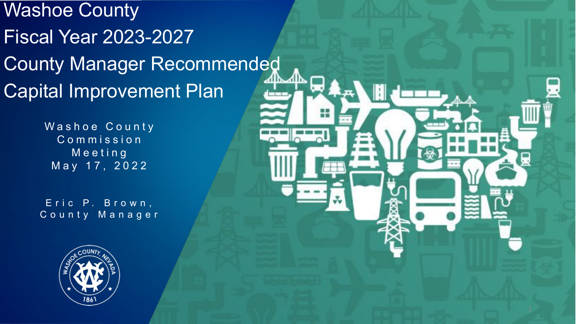#### Washoe County Fiscal Year 2023-2027 County Manager Recommended Capital Improvement Plan

Washoe County Commission Meeting May 17, 2022

Eric P. Brown, County Manager

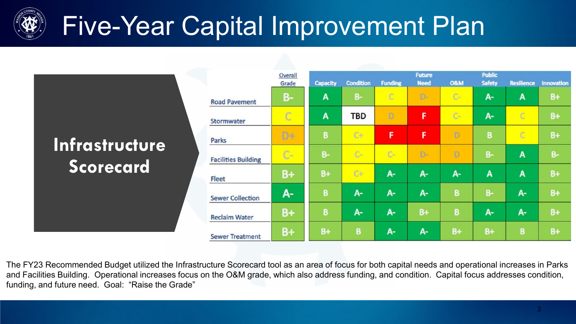

### Five-Year Capital Improvement Plan

|                                           |                            | Overall<br>Grade | <b>Capacity</b> | <b>Condition</b> | <b>Funding</b> | <b>Future</b><br><b>Need</b> | <b>O&amp;M</b> | <b>Public</b><br><b>Safety</b> | <b>Resilience</b> | Innovation |
|-------------------------------------------|----------------------------|------------------|-----------------|------------------|----------------|------------------------------|----------------|--------------------------------|-------------------|------------|
|                                           | <b>Road Pavement</b>       | <b>B-</b>        | A               | $B-$             | $\mathbb{C}$   | $D-$                         | $C-$           | A-                             | A                 | $B+$       |
|                                           | Stormwater                 | $\mathbb{C}$     | A               | <b>TBD</b>       | D              | F                            | $C-$           | $A-$                           | C                 | $B+$       |
|                                           | Parks                      | D+               | B               | $C +$            | F.             | F                            | D              | в                              | C                 | $B+$       |
| <b>Infrastructure</b><br><b>Scorecard</b> | <b>Facilities Building</b> | $C-$             | $B -$           | $C-$             | $C-$           | D-                           | D              | $B -$                          | A                 | $B -$      |
|                                           | Fleet                      | $B+$             | $B+$            | $C+$             | $A -$          | $A-$                         | $A -$          | A                              | A                 | $B+$       |
|                                           | <b>Sewer Collection</b>    | $A -$            | B               | А-               | $A -$          | $A - I$                      | B              | $B -$                          | A-                | $B+$       |
|                                           | <b>Reclaim Water</b>       | $B+$             | B               | А-               | A-             | $B +$                        | B              | $A-$                           | A-                | $B+$       |
|                                           | <b>Sewer Treatment</b>     | $B+$             | $B+$            | В                | $A -$          | А-                           | $B+$           | $B+$                           | B                 | $B+$       |

The FY23 Recommended Budget utilized the Infrastructure Scorecard tool as an area of focus for both capital needs and operational increases in Parks and Facilities Building. Operational increases focus on the O&M grade, which also address funding, and condition. Capital focus addresses condition, funding, and future need. Goal: "Raise the Grade"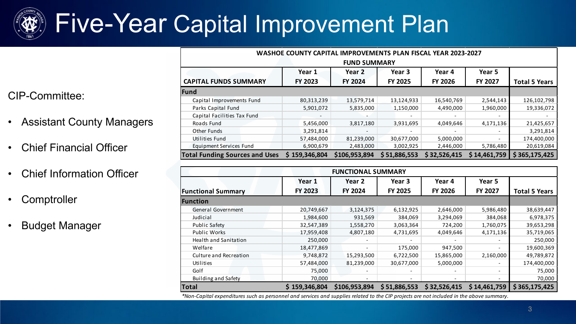

### Five-Year Capital Improvement Plan

CIP-Committee:

- Assistant County Managers
- Chief Financial Officer
- Chief Information Officer
- **Comptroller**
- Budget Manager

| <b>WASHOE COUNTY CAPITAL IMPROVEMENTS PLAN FISCAL YEAR 2023-2027</b> |                |                |                |                |                          |                      |  |
|----------------------------------------------------------------------|----------------|----------------|----------------|----------------|--------------------------|----------------------|--|
| <b>FUND SUMMARY</b>                                                  |                |                |                |                |                          |                      |  |
|                                                                      | Year 1         | Year 2         | Year 3         | Year 4         | Year 5                   |                      |  |
| <b>CAPITAL FUNDS SUMMARY</b>                                         | <b>FY 2023</b> | <b>FY 2024</b> | <b>FY 2025</b> | <b>FY 2026</b> | FY 2027                  | <b>Total 5 Years</b> |  |
| Fund                                                                 |                |                |                |                |                          |                      |  |
| Capital Improvements Fund                                            | 80,313,239     | 13,579,714     | 13,124,933     | 16,540,769     | 2,544,143                | 126,102,798          |  |
| Parks Capital Fund                                                   | 5,901,072      | 5,835,000      | 1,150,000      | 4,490,000      | 1,960,000                | 19,336,072           |  |
| Capital Facilities Tax Fund                                          |                |                |                |                | $\overline{\phantom{0}}$ |                      |  |
| Roads Fund                                                           | 5,456,000      | 3,817,180      | 3,931,695      | 4,049,646      | 4,171,136                | 21,425,657           |  |
| Other Funds                                                          | 3,291,814      |                |                |                |                          | 3,291,814            |  |
| Utilities Fund                                                       | 57,484,000     | 81,239,000     | 30,677,000     | 5,000,000      |                          | 174,400,000          |  |
| Equipment Services Fund                                              | 6,900,679      | 2,483,000      | 3,002,925      | 2,446,000      | 5,786,480                | 20,619,084           |  |
| <b>Total Funding Sources and Uses</b>                                | \$159,346,804  | \$106,953,894  | \$51,886,553   | \$32,526,415   | \$14,461,759             | \$365,175,425        |  |

| <b>FUNCTIONAL SUMMARY</b>    |               |               |                |              |              |                      |  |
|------------------------------|---------------|---------------|----------------|--------------|--------------|----------------------|--|
|                              | Year 1        | Year 2        | Year 3         | Year 4       | Year 5       |                      |  |
| <b>Functional Summary</b>    | FY 2023       | FY 2024       | <b>FY 2025</b> | FY 2026      | FY 2027      | <b>Total 5 Years</b> |  |
| <b>Function</b>              |               |               |                |              |              |                      |  |
| General Government           | 20,749,667    | 3,124,375     | 6,132,925      | 2,646,000    | 5,986,480    | 38,639,447           |  |
| Judicial                     | 1,984,600     | 931,569       | 384,069        | 3,294,069    | 384,068      | 6,978,375            |  |
| <b>Public Safety</b>         | 32,547,389    | 1,558,270     | 3,063,364      | 724,200      | 1,760,075    | 39,653,298           |  |
| <b>Public Works</b>          | 17,959,408    | 4,807,180     | 4,731,695      | 4,049,646    | 4,171,136    | 35,719,065           |  |
| <b>Health and Sanitation</b> | 250,000       |               |                |              |              | 250,000              |  |
| Welfare                      | 18,477,869    |               | 175,000        | 947,500      |              | 19,600,369           |  |
| Culture and Recreation       | 9,748,872     | 15,293,500    | 6,722,500      | 15,865,000   | 2,160,000    | 49,789,872           |  |
| Utilities                    | 57,484,000    | 81,239,000    | 30,677,000     | 5,000,000    |              | 174,400,000          |  |
| Golf                         | 75,000        |               |                |              |              | 75,000               |  |
| <b>Building and Safety</b>   | 70,000        |               |                |              |              | 70,000               |  |
| <b>Total</b>                 | \$159,346,804 | \$106,953,894 | \$51,886,553   | \$32,526,415 | \$14,461,759 | \$365,175,425        |  |

*\*Non-Capital expenditures such as personnel and services and supplies related to the CIP projects are not included in the above summary.*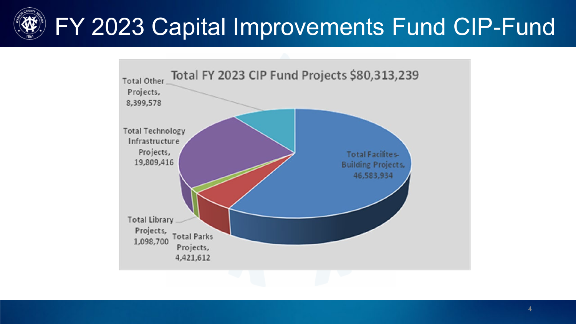## FY 2023 Capital Improvements Fund CIP-Fund

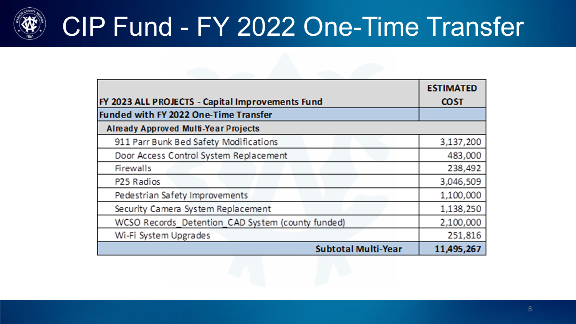

### CIP Fund - FY 2022 One-Time Transfer

|                                                   | <b>ESTIMATED</b> |
|---------------------------------------------------|------------------|
| FY 2023 ALL PROJECTS - Capital Improvements Fund  | <b>COST</b>      |
| <b>Funded with FY 2022 One-Time Transfer</b>      |                  |
| <b>Already Approved Multi-Year Projects</b>       |                  |
| 911 Parr Bunk Bed Safety Modifications            | 3,137,200        |
| Door Access Control System Replacement            | 483,000          |
| Firewalls                                         | 238,492          |
| P <sub>25</sub> Radios                            | 3,046,509        |
| Pedestrian Safety Improvements                    | 1,100,000        |
| Security Camera System Replacement                | 1,138,250        |
| WCSO Records_Detention_CAD System (county funded) | 2,100,000        |
| Wi-Fi System Upgrades                             | 251,816          |
| <b>Subtotal Multi-Year</b>                        | 11,495,267       |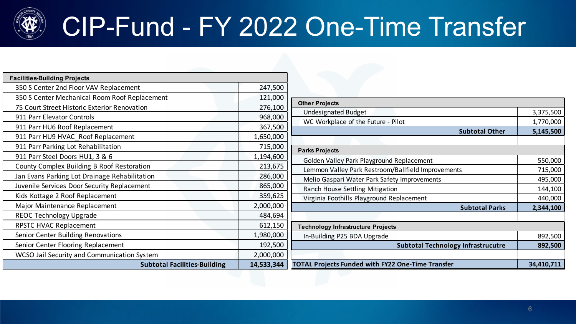

### CIP-Fund - FY 2022 One-Time Transfer

| <b>Facilities-Building Projects</b>           |            |
|-----------------------------------------------|------------|
| 350 S Center 2nd Floor VAV Replacement        | 247,500    |
| 350 S Center Mechanical Room Roof Replacement | 121,000    |
| 75 Court Street Historic Exterior Renovation  | 276,100    |
| 911 Parr Elevator Controls                    | 968,000    |
| 911 Parr HU6 Roof Replacement                 | 367,500    |
| 911 Parr HU9 HVAC_Roof Replacement            | 1,650,000  |
| 911 Parr Parking Lot Rehabilitation           | 715,000    |
| 911 Parr Steel Doors HU1, 3 & 6               | 1,194,600  |
| County Complex Building B Roof Restoration    | 213,675    |
| Jan Evans Parking Lot Drainage Rehabilitation | 286,000    |
| Juvenile Services Door Security Replacement   | 865,000    |
| Kids Kottage 2 Roof Replacement               | 359,625    |
| Major Maintenance Replacement                 | 2,000,000  |
| <b>REOC Technology Upgrade</b>                | 484,694    |
| RPSTC HVAC Replacement                        | 612,150    |
| Senior Center Building Renovations            | 1,980,000  |
| Senior Center Flooring Replacement            | 192,500    |
| WCSO Jail Security and Communication System   | 2,000,000  |
| <b>Subtotal Facilities-Building</b>           | 14,533,344 |

| <b>Other Projects</b>                                    |            |
|----------------------------------------------------------|------------|
| <b>Undesignated Budget</b>                               | 3,375,500  |
| WC Workplace of the Future - Pilot                       | 1,770,000  |
| <b>Subtotal Other</b>                                    | 5,145,500  |
|                                                          |            |
| <b>Parks Projects</b>                                    |            |
| Golden Valley Park Playground Replacement                | 550,000    |
| Lemmon Valley Park Restroom/Ballfield Improvements       | 715,000    |
| Melio Gaspari Water Park Safety Improvements             | 495,000    |
| Ranch House Settling Mitigation                          | 144,100    |
| Virginia Foothills Playground Replacement                | 440,000    |
| <b>Subtotal Parks</b>                                    | 2,344,100  |
|                                                          |            |
| <b>Technology Infrastructure Projects</b>                |            |
| In-Building P25 BDA Upgrade                              | 892,500    |
| <b>Subtotal Technology Infrastrucutre</b>                | 892,500    |
|                                                          |            |
| <b>TOTAL Projects Funded with FY22 One-Time Transfer</b> | 34,410,711 |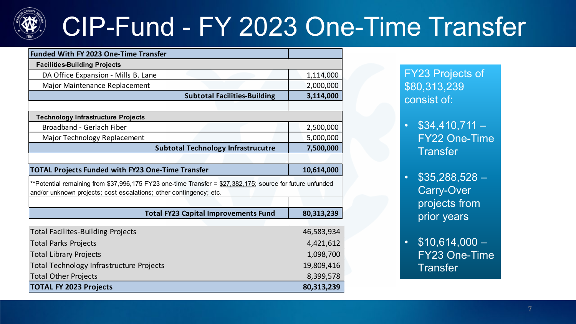

### CIP-Fund - FY 2023 One-Time Transfer

| <b>Funded With FY 2023 One-Time Transfer</b>                                                              |            |
|-----------------------------------------------------------------------------------------------------------|------------|
| <b>Facilities-Building Projects</b>                                                                       |            |
| DA Office Expansion - Mills B. Lane                                                                       | 1,114,000  |
| Major Maintenance Replacement                                                                             | 2,000,000  |
| <b>Subtotal Facilities-Building</b>                                                                       | 3,114,000  |
|                                                                                                           |            |
| <b>Technology Infrastructure Projects</b>                                                                 |            |
| Broadband - Gerlach Fiber                                                                                 | 2,500,000  |
| Major Technology Replacement                                                                              | 5,000,000  |
| <b>Subtotal Technology Infrastrucutre</b>                                                                 | 7,500,000  |
|                                                                                                           |            |
| <b>TOTAL Projects Funded with FY23 One-Time Transfer</b>                                                  | 10,614,000 |
| **Potential remaining from \$37,996,175 FY23 one-time Transfer = \$27,382,175; source for future unfunded |            |
| and/or unknown projects; cost escalations; other contingency; etc.                                        |            |
|                                                                                                           |            |
| <b>Total FY23 Capital Improvements Fund</b>                                                               | 80,313,239 |
|                                                                                                           |            |
| <b>Total Facilites-Building Projects</b>                                                                  | 46,583,934 |
| <b>Total Parks Projects</b>                                                                               | 4,421,612  |
| <b>Total Library Projects</b>                                                                             | 1,098,700  |
| <b>Total Technology Infrastructure Projects</b>                                                           | 19,809,416 |
| <b>Total Other Projects</b>                                                                               | 8,399,578  |
| <b>TOTAL FY 2023 Projects</b>                                                                             | 80,313,239 |

FY23 Projects of \$80,313,239 consist of:

- $\cdot$  \$34,410,711 FY22 One-Time **Transfer**
- $$35,288,528-$ Carry-Over projects from prior years
- $$10,614,000-$ FY23 One-Time **Transfer**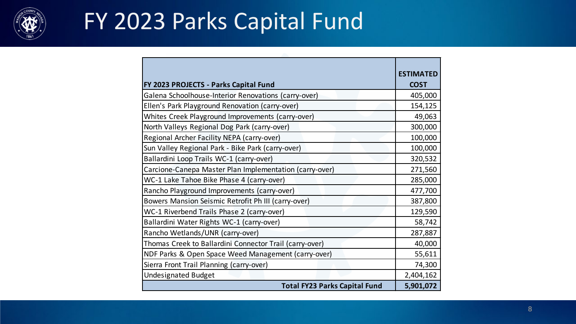

#### FY 2023 Parks Capital Fund

|                                                         | <b>ESTIMATED</b> |
|---------------------------------------------------------|------------------|
|                                                         |                  |
| FY 2023 PROJECTS - Parks Capital Fund                   | <b>COST</b>      |
| Galena Schoolhouse-Interior Renovations (carry-over)    | 405,000          |
| Ellen's Park Playground Renovation (carry-over)         | 154,125          |
| Whites Creek Playground Improvements (carry-over)       | 49,063           |
| North Valleys Regional Dog Park (carry-over)            | 300,000          |
| Regional Archer Facility NEPA (carry-over)              | 100,000          |
| Sun Valley Regional Park - Bike Park (carry-over)       | 100,000          |
| Ballardini Loop Trails WC-1 (carry-over)                | 320,532          |
| Carcione-Canepa Master Plan Implementation (carry-over) | 271,560          |
| WC-1 Lake Tahoe Bike Phase 4 (carry-over)               | 285,000          |
| Rancho Playground Improvements (carry-over)             | 477,700          |
| Bowers Mansion Seismic Retrofit Ph III (carry-over)     | 387,800          |
| WC-1 Riverbend Trails Phase 2 (carry-over)              | 129,590          |
| Ballardini Water Rights WC-1 (carry-over)               | 58,742           |
| Rancho Wetlands/UNR (carry-over)                        | 287,887          |
| Thomas Creek to Ballardini Connector Trail (carry-over) | 40,000           |
| NDF Parks & Open Space Weed Management (carry-over)     | 55,611           |
| Sierra Front Trail Planning (carry-over)                | 74,300           |
| <b>Undesignated Budget</b>                              | 2,404,162        |
| <b>Total FY23 Parks Capital Fund</b>                    | 5,901,072        |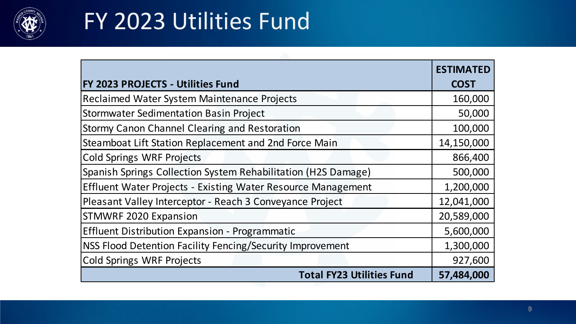

#### FY 2023 Utilities Fund

|                                                               | <b>ESTIMATED</b> |
|---------------------------------------------------------------|------------------|
| <b>FY 2023 PROJECTS - Utilities Fund</b>                      | <b>COST</b>      |
| Reclaimed Water System Maintenance Projects                   | 160,000          |
| <b>Stormwater Sedimentation Basin Project</b>                 | 50,000           |
| Stormy Canon Channel Clearing and Restoration                 | 100,000          |
| Steamboat Lift Station Replacement and 2nd Force Main         | 14,150,000       |
| <b>Cold Springs WRF Projects</b>                              | 866,400          |
| Spanish Springs Collection System Rehabilitation (H2S Damage) | 500,000          |
| Effluent Water Projects - Existing Water Resource Management  | 1,200,000        |
| Pleasant Valley Interceptor - Reach 3 Conveyance Project      | 12,041,000       |
| <b>STMWRF 2020 Expansion</b>                                  | 20,589,000       |
| <b>Effluent Distribution Expansion - Programmatic</b>         | 5,600,000        |
| NSS Flood Detention Facility Fencing/Security Improvement     | 1,300,000        |
| <b>Cold Springs WRF Projects</b>                              | 927,600          |
| <b>Total FY23 Utilities Fund</b>                              | 57,484,000       |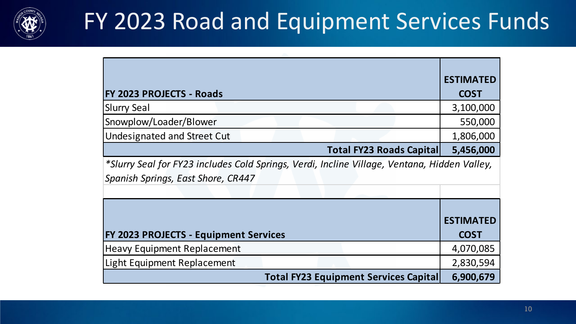

#### FY 2023 Road and Equipment Services Funds

|                                                                                              | <b>ESTIMATED</b> |
|----------------------------------------------------------------------------------------------|------------------|
| <b>FY 2023 PROJECTS - Roads</b>                                                              | <b>COST</b>      |
| <b>Slurry Seal</b>                                                                           | 3,100,000        |
| Snowplow/Loader/Blower                                                                       | 550,000          |
| <b>Undesignated and Street Cut</b>                                                           | 1,806,000        |
| <b>Total FY23 Roads Capital</b>                                                              | 5,456,000        |
| *Slurry Seal for FY23 includes Cold Springs, Verdi, Incline Village, Ventana, Hidden Valley, |                  |
| Spanish Springs, East Shore, CR447                                                           |                  |
|                                                                                              |                  |
|                                                                                              |                  |
|                                                                                              | <b>ESTIMATED</b> |
| <b>FY 2023 PROJECTS - Equipment Services</b>                                                 | <b>COST</b>      |
| <b>Heavy Equipment Replacement</b>                                                           | 4,070,085        |
| <b>Light Equipment Replacement</b>                                                           | 2,830,594        |
| <b>Total FY23 Equipment Services Capital</b>                                                 | 6,900,679        |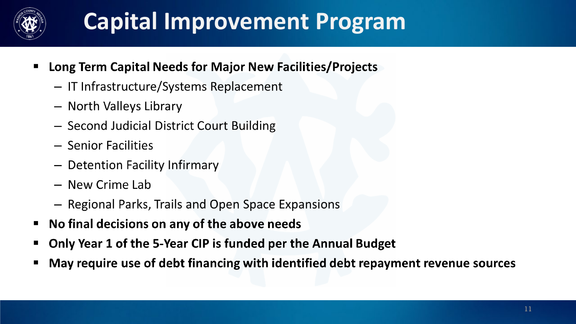

#### **Capital Improvement Program**

- Long Term Capital Needs for Major New Facilities/Projects  $\blacksquare$ 
	- IT Infrastructure/Systems Replacement
	- North Valleys Library
	- Second Judicial District Court Building
	- Senior Facilities
	- Detention Facility Infirmary
	- New Crime Lab
	- Regional Parks, Trails and Open Space Expansions
- No final decisions on any of the above needs п
- Only Year 1 of the 5-Year CIP is funded per the Annual Budget
- May require use of debt financing with identified debt repayment revenue sources